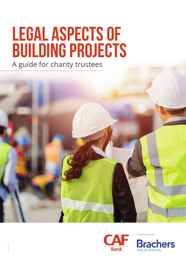# **LEGAL ASPECTS OF BUILDING PROJECTS**

A guide for charity trustees





in partnership with

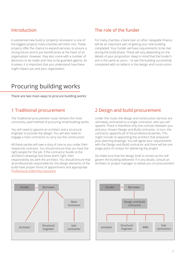## Introduction

A substantial new build or property renovation is one of the biggest projects many charities will enter into. These projects offer the chance to expand services, to ensure a strong future and to put beneficiaries at the heart of an organisation. However, they also come with a number of decisions to be made and risks to be guarded against. As trustees, it is important that you understand how these might impact you and your organisation.

## The role of the funder

For many charities, a bank loan or other repayable finance will be an important part of getting your new building completed. Your funder will have requirements to be met during the build phase. These will vary depending on the details of your proposition. Keep in mind that the funder's aim is the same as yours – to see the building successfully completed with no defects in the design and construction.

## Procuring building works

There are two main ways to procure building works:

## 1 Traditional procurement

The 'traditional' procurement route remains the most commonly used method of procuring small building works.

You will need to appoint an architect and a structural engineer to provide the design. You will also need to engage a main contractor to carry out the construction.

All these parties will owe a duty of care to you under their respective contracts. You should ensure that you have the right people for the job. If the contractor builds to the architect's drawings but those aren't right, then responsibility sits with the architect. You should ensure that all professionals responsible for the design elements of the build have proper forms of appointment and appropriate [Professional Indemnity Insurance](#page-3-0).

## 2 Design and build procurement

Under this route, the design and construction services are ultimately contracted to a single contractor, who you will appoint. There is therefore only one contract between you and your chosen Design and Build contractor. In turn, the contractor appoints all of the professional parties. This might include re-appointing the architect that prepared your planning drawings. You will agree your requirements with the Design and Build contractor and there will be one single point of contact for delivering the project.

Do make sure that the design brief is correct as this will govern the building delivered. If in any doubt, consult an architect or project manager to advise you on procurement.



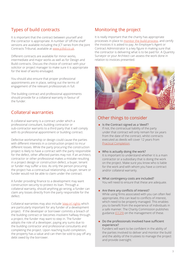## Types of build contracts

It is important that the contract between yourself and the contractor is appropriate. A number of 'off-the-shelf' versions are available including the JCT series from the Joint Contracts Tribunal, available at [www.jctltd.co.uk](http://www.jctltd.co.uk).

Different contracts are available for minor works, intermediate and major works as well as for Design and Build contracts. Discuss the choice of contract with your solicitor or project manager to make sure it is appropriate for the level of works envisaged.

You should also ensure that proper professional appointments are in place, setting out the terms of engagement of the relevant professionals in full.

The building contract and professional appointments should provide for a collateral warranty in favour of the funder.

## Collateral warranties

A collateral warranty is a contract under which a professional consultant, building contractor or sub-contractor warrants to a third party that it will comply with its professional appointment or building contract.

Defective workmanship or design could cause the parties with different interests in a construction project to incur different losses. While the party procuring the construction project is likely to have a contract with the party responsible for the defect, other affected parties may not. If an architect, contractor or other professional makes a mistake resulting in a project design or construction defect, a buyer, tenant or funder may suffer a loss. As only the person procuring the project has a contractual relationship, a buyer, tenant or funder would not be able to claim under the contract.

A funder providing finance to a development may want construction security to protect its loan. Through a collateral warranty, should anything go wrong, a funder can claim any losses directly from the party responsible for the defect.

Collateral warranties may also include ['step-in' rights](#page-3-1) which are particularly important for any funder of a development project. If the developer or borrower commits a breach of the building contract or becomes insolvent halfway through a project, the funder may want to step in. The funder adopts the role of a developer, paying any sums due to the building contractor and professional consultants and completing the project. Upon reaching build completion, the property has a value and can then be sold to pay off any debt owed by the borrower.

## Monitoring the project

It is really important that the charity has appropriate processes in place to [monitor the build process,](#page-3-2) and certify the invoices it is asked to pay. An Employer's Agent or Contract Administrator is a key figure in making sure that the contractor is delivering what is to be paid for. A Quantity Surveyor or your Architect can assess the work done in relation to invoices presented.



## Other things to consider

- **n** Is the Contract signed as a 'deed'? If not, the contractual liability of the party under that contract will only remain for six years from the date of the contract, whilst contracts executed as deeds will cover 12 years from [Practical Completion](#page-3-3).
- $\blacksquare$  Who is actually doing the work? It is important to understand whether it is a main contractor or a subsidiary that is doing the work on the project. Make sure you know who is liable for the work and with whom you have a contract and/or collateral warranty.
- What contingency costs are included? You will need to ensure that these are adequate.
- $\blacksquare$  Are there any conflicts of interest? While using firms associated with you can often feel appropriate, this can lead to conflicts of interest, which need to be properly managed. This enables you to benefit from the experience of individuals in a safe manner. The Charity Commission publishes guidance [\(CC29\)](https://www.gov.uk/government/publications/conflicts-of-interest-a-guide-for-charity-trustees-cc29) on the management of these.
- $\blacksquare$  Do the professionals involved have sufficient experience?

Funders will want to be confident in the ability of the parties involved to deliver and monitor the build and the ability of the trustees to manage the project and provide oversight.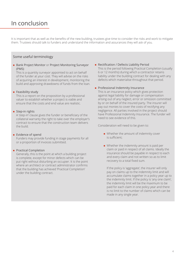# In conclusion

It is important that as well as the benefits of the new building, trustees give time to consider the risks and work to mitigate them. Trustees should talk to funders and understand the information and assurances they will ask of you.

#### Some useful terminology

<span id="page-3-2"></span>■ Bank Project Monitor or Project Monitoring Surveyor (PMS)

This is a quantity surveyor appointed to act on behalf of the funder at your cost. They will advise on the risks of acquiring an interest in development, monitoring the build and approving drawdowns of funds from the loan.

#### $\blacksquare$  Feasibility study

This is a report on the proposition by a professional valuer to establish whether a project is viable and ensure that the costs and end value are realistic.

#### <span id="page-3-1"></span> $\blacksquare$  Step-in rights

A 'step-in' clause gives the funder or beneficiary of the collateral warranty the right to take over the employer's contract to ensure that the construction team delivers the build.

#### **Exidence of spend**

Funders may provide funding in stage payments for all or a proportion of invoices submitted.

#### **Practical Completion**

<span id="page-3-3"></span>Generally, this is the point at which a building project is complete, except for minor defects which can be put right without disturbing an occupier. It is the point where an architect or contract administrator confirms that the building has achieved 'Practical Completion' under the building contract.

#### **n** Rectification / Defects Liability Period

This is the period following Practical Completion (usually 6 or 12 months) during which a contractor retains liability under the building contract for dealing with any defects which materialise throughout that period.

#### <span id="page-3-0"></span>**Professional Indemnity Insurance**

This is an insurance policy which gives protection against legal liability for damage or compensation arising out of any neglect, error or omission committed by or on behalf of the insured party. The insurer will pay out monies to cover the costs of rectifying any negligence. All parties involved in the project should have Professional Indemnity Insurance. The funder will need to see evidence of this.

Consideration will need to be given to:

- $\blacksquare$  Whether the amount of indemnity cover is sufficient;
- $\blacksquare$  Whether the indemnity amount is paid per claim or paid in respect of all claims. Ideally the insurance should be payable in respect to each and every claim and not written so as to limit recovery to a total fixed sum.

If the policy is 'aggregate', the insurer will only pay on claims up to the indemnity limit and will accumulate claims together in a policy year up to the indemnity limit. If the policy is 'any one claim', the indemnity limit will be the maximum to be paid for each claim in one policy year and there is no limit to the number of claims which can be made in any single year.